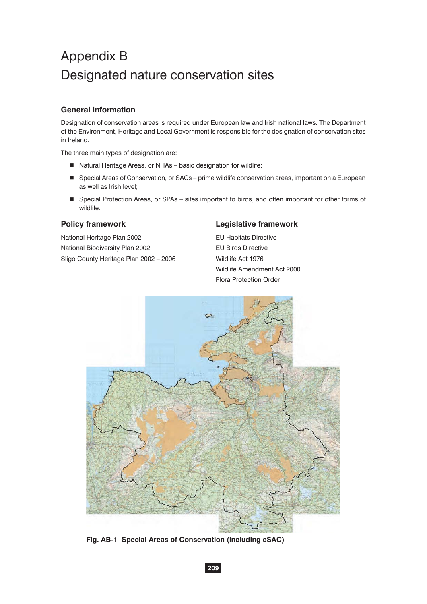# Appendix B Designated nature conservation sites

### **General information**

Designation of conservation areas is required under European law and Irish national laws. The Department of the Environment, Heritage and Local Government is responsible for the designation of conservation sites in Ireland.

The three main types of designation are:

- Natural Heritage Areas, or NHAs basic designation for wildlife;
- Special Areas of Conservation, or SACs prime wildlife conservation areas, important on a European as well as Irish level;
- Special Protection Areas, or SPAs sites important to birds, and often important for other forms of wildlife.

National Heritage Plan 2002 **EU Habitats Directive** National Biodiversity Plan 2002 **EU Birds Directive** Sligo County Heritage Plan 2002 - 2006 Wildlife Act 1976

### **Policy framework Legislative framework**

 Wildlife Amendment Act 2000 Flora Protection Order



**Fig. AB-1 Special Areas of Conservation (including cSAC)**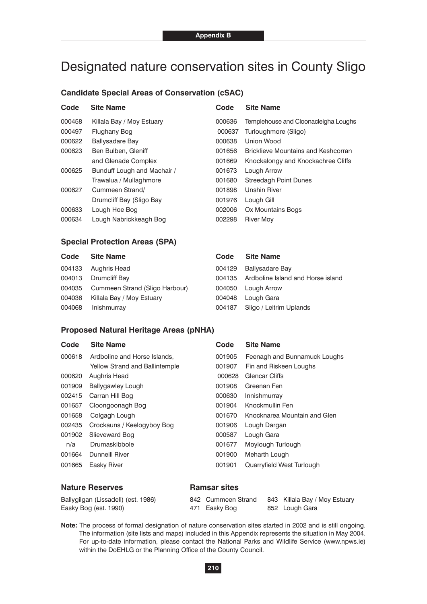## Designated nature conservation sites in County Sligo

#### **Candidate Special Areas of Conservation (cSAC)**

| Code   | <b>Site Name</b>            | Code   | <b>Site Name</b>                           |
|--------|-----------------------------|--------|--------------------------------------------|
| 000458 | Killala Bay / Moy Estuary   | 000636 | Templehouse and Cloonacleigha Loughs       |
| 000497 | Flughany Bog                | 000637 | Turloughmore (Sligo)                       |
| 000622 | Ballysadare Bay             | 000638 | Union Wood                                 |
| 000623 | Ben Bulben, Gleniff         | 001656 | <b>Bricklieve Mountains and Keshcorran</b> |
|        | and Glenade Complex         | 001669 | Knockalongy and Knockachree Cliffs         |
| 000625 | Bunduff Lough and Machair / | 001673 | Lough Arrow                                |
|        | Trawalua / Mullaghmore      | 001680 | <b>Streedagh Point Dunes</b>               |
| 000627 | Cummeen Strand/             | 001898 | <b>Unshin River</b>                        |
|        | Drumcliff Bay (Sligo Bay    | 001976 | Lough Gill                                 |
| 000633 | Lough Hoe Bog               | 002006 | Ox Mountains Bogs                          |
| 000634 | Lough Nabrickkeagh Bog      | 002298 | <b>River Moy</b>                           |

#### **Special Protection Areas (SPA)**

| Code   | <b>Site Name</b>               | Code   | <b>Site Name</b>                  |
|--------|--------------------------------|--------|-----------------------------------|
| 004133 | Aughris Head                   | 004129 | <b>Ballysadare Bay</b>            |
| 004013 | Drumcliff Bay                  | 004135 | Ardboline Island and Horse island |
| 004035 | Cummeen Strand (Sligo Harbour) | 004050 | Lough Arrow                       |
| 004036 | Killala Bay / Moy Estuary      | 004048 | Lough Gara                        |
| 004068 | Inishmurray                    | 004187 | Sligo / Leitrim Uplands           |
|        |                                |        |                                   |

#### **Proposed Natural Heritage Areas (pNHA)**

| Code   | <b>Site Name</b>                      | Code   | <b>Site Name</b>             |
|--------|---------------------------------------|--------|------------------------------|
| 000618 | Ardboline and Horse Islands.          | 001905 | Feenagh and Bunnamuck Loughs |
|        | <b>Yellow Strand and Ballintemple</b> | 001907 | Fin and Riskeen Loughs       |
| 000620 | Aughris Head                          | 000628 | Glencar Cliffs               |
| 001909 | <b>Ballygawley Lough</b>              | 001908 | Greenan Fen                  |
| 002415 | Carran Hill Bog                       | 000630 | Innishmurray                 |
| 001657 | Cloongoonagh Bog                      | 001904 | Knockmullin Fen              |
| 001658 | Colgagh Lough                         | 001670 | Knocknarea Mountain and Glen |
| 002435 | Crockauns / Keelogyboy Bog            | 001906 | Lough Dargan                 |
| 001902 | Slieveward Bog                        | 000587 | Lough Gara                   |
| n/a    | Drumaskibbole                         | 001677 | Moylough Turlough            |
| 001664 | <b>Dunneill River</b>                 | 001900 | Meharth Lough                |
| 001665 | Easky River                           | 001901 | Quarryfield West Turlough    |
|        |                                       |        |                              |

#### **Nature Reserves Communist Ramsar sites**

| Ballygilgan (Lissadell) (est. 1986) | 842 Cummeen Strand | 843 Killala Bay / Moy Estuary |
|-------------------------------------|--------------------|-------------------------------|
| Easky Bog (est. 1990)               | 471 Easky Bog      | 852 Lough Gara                |

**Note:** The process of formal designation of nature conservation sites started in 2002 and is still ongoing. The information (site lists and maps) included in this Appendix represents the situation in May 2004. For up-to-date information, please contact the National Parks and Wildlife Service (www.npws.ie) within the DoEHLG or the Planning Office of the County Council.